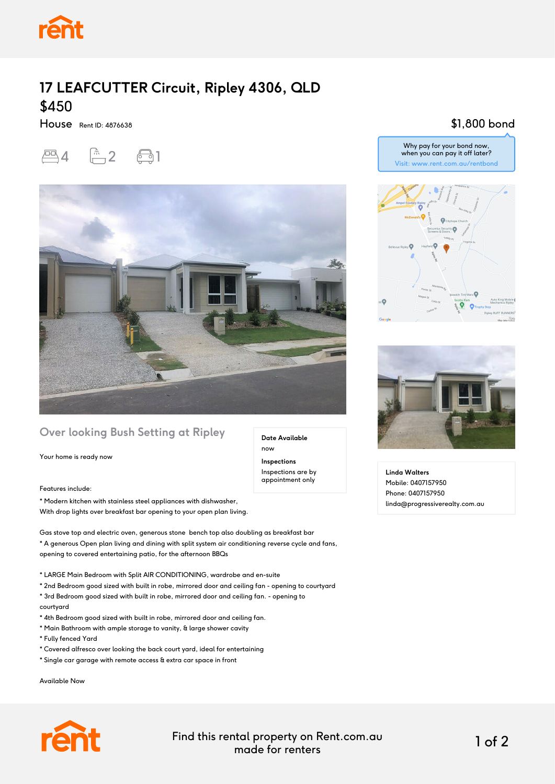

## **17 LEAFCUTTER Circuit, Ripley 4306, QLD** \$450

House Rent ID: 4876638





## **Over looking Bush Setting at Ripley**

Your home is ready now

Features include:

\* Modern kitchen with stainless steel appliances with dishwasher, With drop lights over breakfast bar opening to your open plan living.

Gas stove top and electric oven, generous stone bench top also doubling as breakfast bar \* A generous Open plan living and dining with split system air conditioning reverse cycle and fans, opening to covered entertaining patio, for the afternoon BBQs

- \* LARGE Main Bedroom with Split AIR CONDITIONING, wardrobe and en-suite
- \* 2nd Bedroom good sized with built in robe, mirrored door and ceiling fan opening to courtyard
- \* 3rd Bedroom good sized with built in robe, mirrored door and ceiling fan. opening to courtyard
- \* 4th Bedroom good sized with built in robe, mirrored door and ceiling fan.
- \* Main Bathroom with ample storage to vanity, & large shower cavity
- \* Fully fenced Yard
- \* Covered alfresco over looking the back court yard, ideal for entertaining
- \* Single car garage with remote access & extra car space in front

Available Now









**Linda Walters** Mobile: 0407157950 Phone: 0407157950 linda@progressiverealty.com.au



Find this rental property on Rent.com.au made for renters 1 of 2

**Date Available**

now **Inspections** Inspections are by appointment only